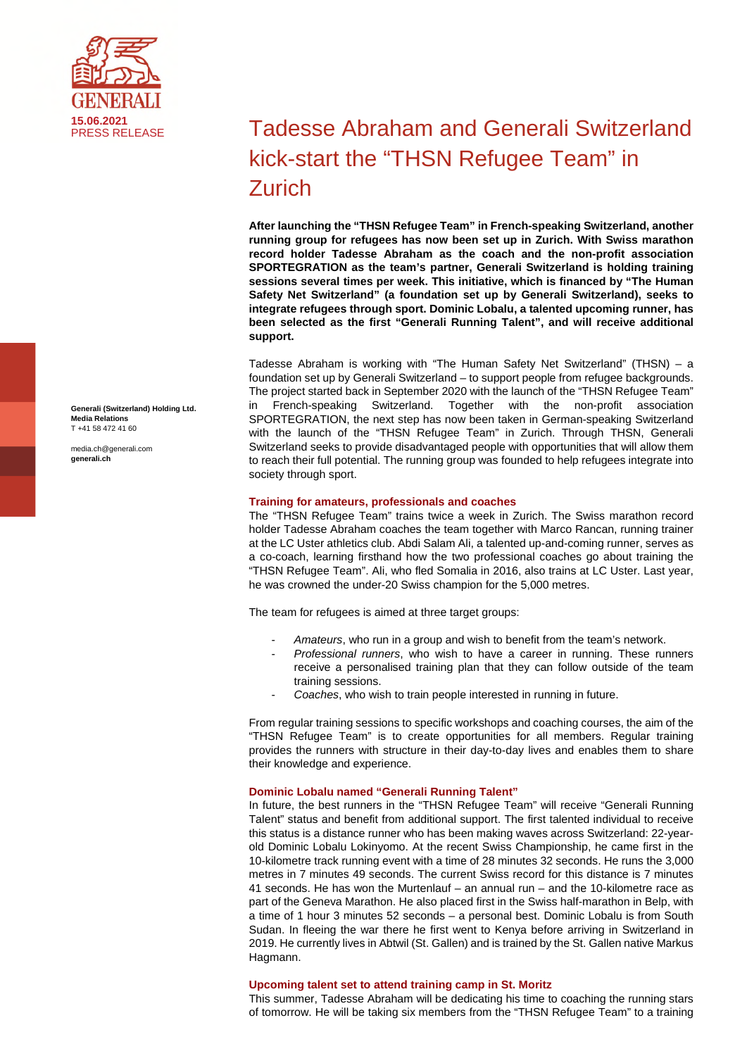

**Generali (Switzerland) Holding Ltd. Media Relations**  T +41 58 472 41 60

media.ch@generali.com **generali.ch**

# **Tadesse Abraham and Generali Switzerland** kick-start the "THSN Refugee Team" in Zurich

**After launching the "THSN Refugee Team" in French-speaking Switzerland, another running group for refugees has now been set up in Zurich. With Swiss marathon record holder Tadesse Abraham as the coach and the non-profit association SPORTEGRATION as the team's partner, Generali Switzerland is holding training sessions several times per week. This initiative, which is financed by "The Human Safety Net Switzerland" (a foundation set up by Generali Switzerland), seeks to integrate refugees through sport. Dominic Lobalu, a talented upcoming runner, has been selected as the first "Generali Running Talent", and will receive additional support.** 

Tadesse Abraham is working with "The Human Safety Net Switzerland" (THSN) – a foundation set up by Generali Switzerland – to support people from refugee backgrounds. The project started back in September 2020 with the launch of the "THSN Refugee Team" in French-speaking Switzerland. Together with the non-profit association SPORTEGRATION, the next step has now been taken in German-speaking Switzerland with the launch of the "THSN Refugee Team" in Zurich. Through THSN, Generali Switzerland seeks to provide disadvantaged people with opportunities that will allow them to reach their full potential. The running group was founded to help refugees integrate into society through sport.

# **Training for amateurs, professionals and coaches**

The "THSN Refugee Team" trains twice a week in Zurich. The Swiss marathon record holder Tadesse Abraham coaches the team together with Marco Rancan, running trainer at the LC Uster athletics club. Abdi Salam Ali, a talented up-and-coming runner, serves as a co-coach, learning firsthand how the two professional coaches go about training the "THSN Refugee Team". Ali, who fled Somalia in 2016, also trains at LC Uster. Last year, he was crowned the under-20 Swiss champion for the 5,000 metres.

The team for refugees is aimed at three target groups:

- *Amateurs*, who run in a group and wish to benefit from the team's network.
- *Professional runners*, who wish to have a career in running. These runners receive a personalised training plan that they can follow outside of the team training sessions.
- *Coaches*, who wish to train people interested in running in future.

From regular training sessions to specific workshops and coaching courses, the aim of the "THSN Refugee Team" is to create opportunities for all members. Regular training provides the runners with structure in their day-to-day lives and enables them to share their knowledge and experience.

# **Dominic Lobalu named "Generali Running Talent"**

In future, the best runners in the "THSN Refugee Team" will receive "Generali Running Talent" status and benefit from additional support. The first talented individual to receive this status is a distance runner who has been making waves across Switzerland: 22-yearold Dominic Lobalu Lokinyomo. At the recent Swiss Championship, he came first in the 10-kilometre track running event with a time of 28 minutes 32 seconds. He runs the 3,000 metres in 7 minutes 49 seconds. The current Swiss record for this distance is 7 minutes 41 seconds. He has won the Murtenlauf – an annual run – and the 10-kilometre race as part of the Geneva Marathon. He also placed first in the Swiss half-marathon in Belp, with a time of 1 hour 3 minutes 52 seconds – a personal best. Dominic Lobalu is from South Sudan. In fleeing the war there he first went to Kenya before arriving in Switzerland in 2019. He currently lives in Abtwil (St. Gallen) and is trained by the St. Gallen native Markus Hagmann.

## **Upcoming talent set to attend training camp in St. Moritz**

This summer, Tadesse Abraham will be dedicating his time to coaching the running stars of tomorrow. He will be taking six members from the "THSN Refugee Team" to a training